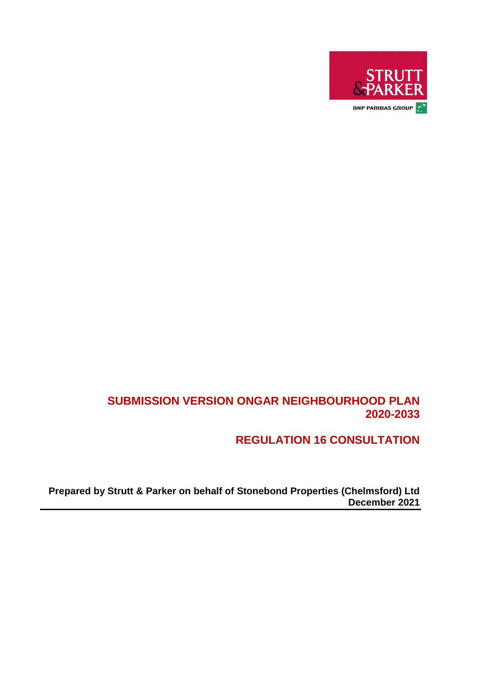

### **SUBMISSION VERSION ONGAR NEIGHBOURHOOD PLAN 2020-2033**

**REGULATION 16 CONSULTATION**

**Prepared by Strutt & Parker on behalf of Stonebond Properties (Chelmsford) Ltd December 2021**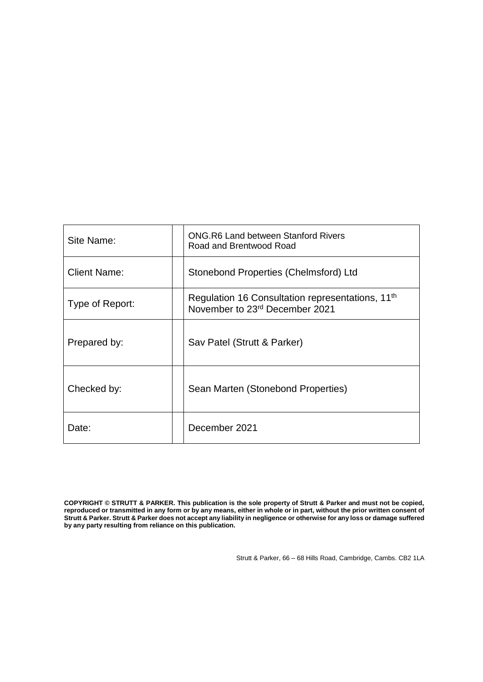| Site Name:          | ONG R6 Land between Stanford Rivers<br>Road and Brentwood Road                                 |
|---------------------|------------------------------------------------------------------------------------------------|
| <b>Client Name:</b> | Stonebond Properties (Chelmsford) Ltd                                                          |
| Type of Report:     | Regulation 16 Consultation representations, 11 <sup>th</sup><br>November to 23rd December 2021 |
| Prepared by:        | Sav Patel (Strutt & Parker)                                                                    |
| Checked by:         | Sean Marten (Stonebond Properties)                                                             |
| Date:               | December 2021                                                                                  |

**COPYRIGHT © STRUTT & PARKER. This publication is the sole property of Strutt & Parker and must not be copied, reproduced or transmitted in any form or by any means, either in whole or in part, without the prior written consent of Strutt & Parker. Strutt & Parker does not accept any liability in negligence or otherwise for any loss or damage suffered by any party resulting from reliance on this publication.**

Strutt & Parker, 66 – 68 Hills Road, Cambridge, Cambs. CB2 1LA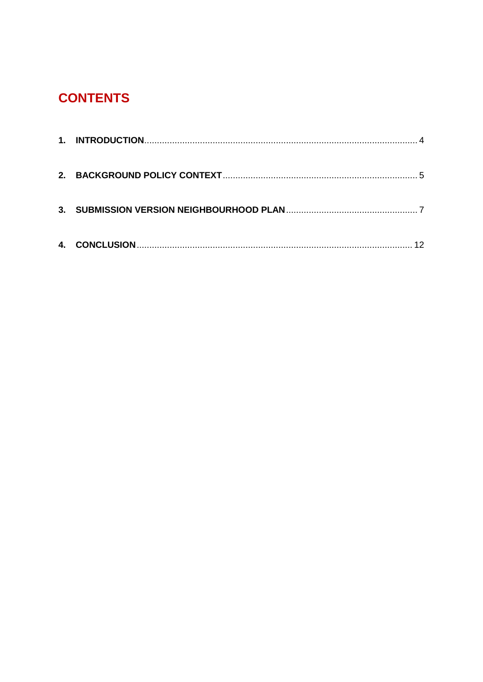# **CONTENTS**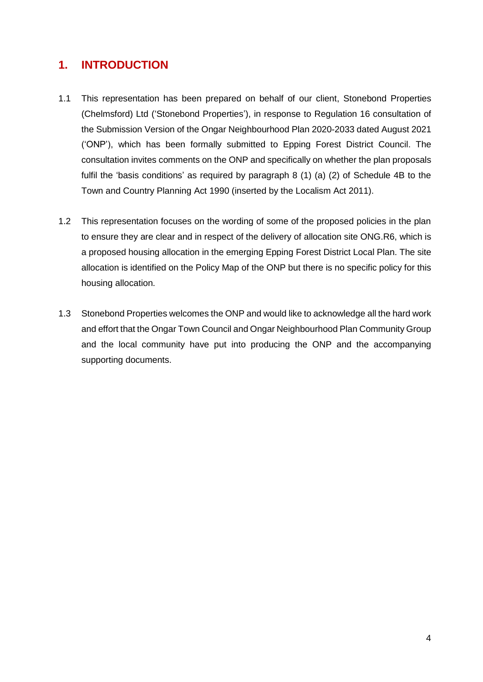### <span id="page-3-0"></span>**1. INTRODUCTION**

- 1.1 This representation has been prepared on behalf of our client, Stonebond Properties (Chelmsford) Ltd ('Stonebond Properties'), in response to Regulation 16 consultation of the Submission Version of the Ongar Neighbourhood Plan 2020-2033 dated August 2021 ('ONP'), which has been formally submitted to Epping Forest District Council. The consultation invites comments on the ONP and specifically on whether the plan proposals fulfil the 'basis conditions' as required by paragraph 8 (1) (a) (2) of Schedule 4B to the Town and Country Planning Act 1990 (inserted by the Localism Act 2011).
- 1.2 This representation focuses on the wording of some of the proposed policies in the plan to ensure they are clear and in respect of the delivery of allocation site ONG.R6, which is a proposed housing allocation in the emerging Epping Forest District Local Plan. The site allocation is identified on the Policy Map of the ONP but there is no specific policy for this housing allocation.
- 1.3 Stonebond Properties welcomes the ONP and would like to acknowledge all the hard work and effort that the Ongar Town Council and Ongar Neighbourhood Plan Community Group and the local community have put into producing the ONP and the accompanying supporting documents.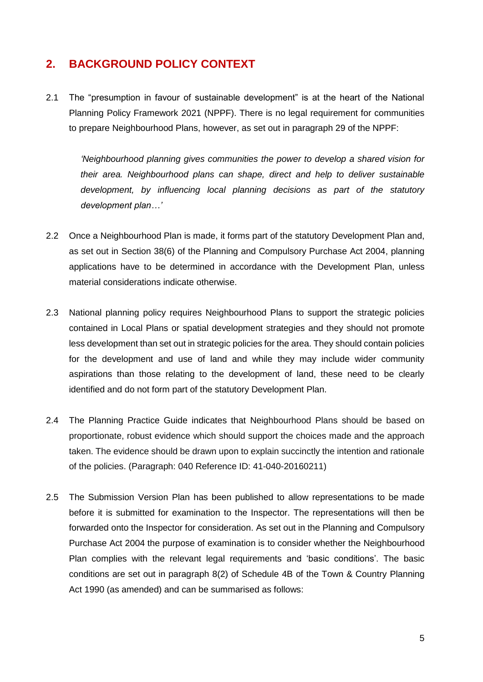### <span id="page-4-0"></span>**2. BACKGROUND POLICY CONTEXT**

2.1 The "presumption in favour of sustainable development" is at the heart of the National Planning Policy Framework 2021 (NPPF). There is no legal requirement for communities to prepare Neighbourhood Plans, however, as set out in paragraph 29 of the NPPF:

*'Neighbourhood planning gives communities the power to develop a shared vision for their area. Neighbourhood plans can shape, direct and help to deliver sustainable development, by influencing local planning decisions as part of the statutory development plan…'*

- 2.2 Once a Neighbourhood Plan is made, it forms part of the statutory Development Plan and, as set out in Section 38(6) of the Planning and Compulsory Purchase Act 2004, planning applications have to be determined in accordance with the Development Plan, unless material considerations indicate otherwise.
- 2.3 National planning policy requires Neighbourhood Plans to support the strategic policies contained in Local Plans or spatial development strategies and they should not promote less development than set out in strategic policies for the area. They should contain policies for the development and use of land and while they may include wider community aspirations than those relating to the development of land, these need to be clearly identified and do not form part of the statutory Development Plan.
- 2.4 The Planning Practice Guide indicates that Neighbourhood Plans should be based on proportionate, robust evidence which should support the choices made and the approach taken. The evidence should be drawn upon to explain succinctly the intention and rationale of the policies. (Paragraph: 040 Reference ID: 41-040-20160211)
- 2.5 The Submission Version Plan has been published to allow representations to be made before it is submitted for examination to the Inspector. The representations will then be forwarded onto the Inspector for consideration. As set out in the Planning and Compulsory Purchase Act 2004 the purpose of examination is to consider whether the Neighbourhood Plan complies with the relevant legal requirements and 'basic conditions'. The basic conditions are set out in paragraph 8(2) of Schedule 4B of the Town & Country Planning Act 1990 (as amended) and can be summarised as follows: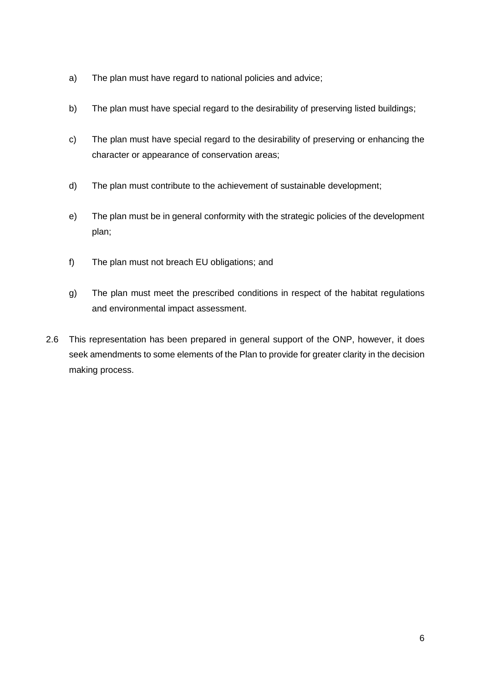- a) The plan must have regard to national policies and advice;
- b) The plan must have special regard to the desirability of preserving listed buildings;
- c) The plan must have special regard to the desirability of preserving or enhancing the character or appearance of conservation areas;
- d) The plan must contribute to the achievement of sustainable development;
- e) The plan must be in general conformity with the strategic policies of the development plan;
- f) The plan must not breach EU obligations; and
- g) The plan must meet the prescribed conditions in respect of the habitat regulations and environmental impact assessment.
- 2.6 This representation has been prepared in general support of the ONP, however, it does seek amendments to some elements of the Plan to provide for greater clarity in the decision making process.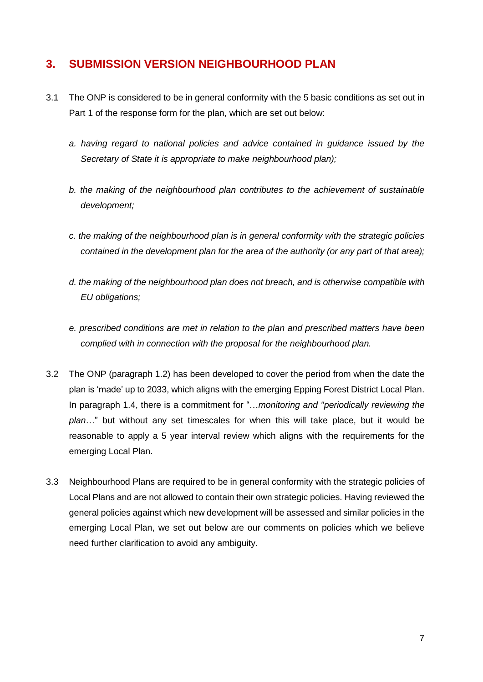### <span id="page-6-0"></span>**3. SUBMISSION VERSION NEIGHBOURHOOD PLAN**

- 3.1 The ONP is considered to be in general conformity with the 5 basic conditions as set out in Part 1 of the response form for the plan, which are set out below:
	- *a. having regard to national policies and advice contained in guidance issued by the Secretary of State it is appropriate to make neighbourhood plan);*
	- *b. the making of the neighbourhood plan contributes to the achievement of sustainable development;*
	- *c. the making of the neighbourhood plan is in general conformity with the strategic policies contained in the development plan for the area of the authority (or any part of that area);*
	- *d. the making of the neighbourhood plan does not breach, and is otherwise compatible with EU obligations;*
	- *e. prescribed conditions are met in relation to the plan and prescribed matters have been complied with in connection with the proposal for the neighbourhood plan.*
- 3.2 The ONP (paragraph 1.2) has been developed to cover the period from when the date the plan is 'made' up to 2033, which aligns with the emerging Epping Forest District Local Plan. In paragraph 1.4, there is a commitment for "…*monitoring and "periodically reviewing the plan*…" but without any set timescales for when this will take place, but it would be reasonable to apply a 5 year interval review which aligns with the requirements for the emerging Local Plan.
- 3.3 Neighbourhood Plans are required to be in general conformity with the strategic policies of Local Plans and are not allowed to contain their own strategic policies. Having reviewed the general policies against which new development will be assessed and similar policies in the emerging Local Plan, we set out below are our comments on policies which we believe need further clarification to avoid any ambiguity.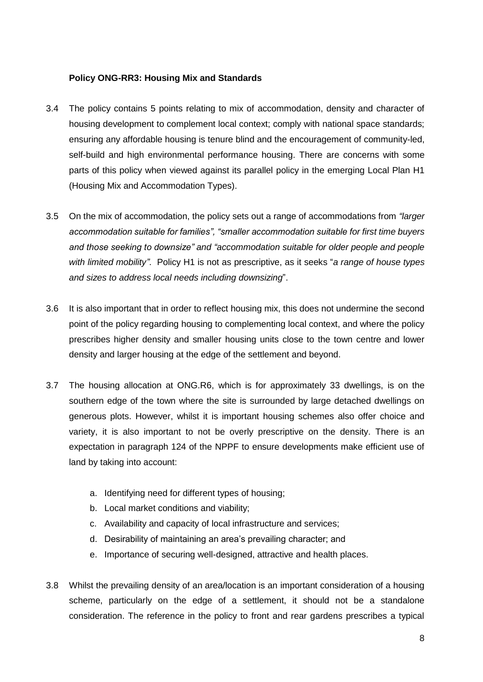#### **Policy ONG-RR3: Housing Mix and Standards**

- 3.4 The policy contains 5 points relating to mix of accommodation, density and character of housing development to complement local context; comply with national space standards; ensuring any affordable housing is tenure blind and the encouragement of community-led, self-build and high environmental performance housing. There are concerns with some parts of this policy when viewed against its parallel policy in the emerging Local Plan H1 (Housing Mix and Accommodation Types).
- 3.5 On the mix of accommodation, the policy sets out a range of accommodations from *"larger accommodation suitable for families", "smaller accommodation suitable for first time buyers and those seeking to downsize" and "accommodation suitable for older people and people with limited mobility"*. Policy H1 is not as prescriptive, as it seeks "*a range of house types and sizes to address local needs including downsizing*".
- 3.6 It is also important that in order to reflect housing mix, this does not undermine the second point of the policy regarding housing to complementing local context, and where the policy prescribes higher density and smaller housing units close to the town centre and lower density and larger housing at the edge of the settlement and beyond.
- 3.7 The housing allocation at ONG.R6, which is for approximately 33 dwellings, is on the southern edge of the town where the site is surrounded by large detached dwellings on generous plots. However, whilst it is important housing schemes also offer choice and variety, it is also important to not be overly prescriptive on the density. There is an expectation in paragraph 124 of the NPPF to ensure developments make efficient use of land by taking into account:
	- a. Identifying need for different types of housing;
	- b. Local market conditions and viability;
	- c. Availability and capacity of local infrastructure and services;
	- d. Desirability of maintaining an area's prevailing character; and
	- e. Importance of securing well-designed, attractive and health places.
- 3.8 Whilst the prevailing density of an area/location is an important consideration of a housing scheme, particularly on the edge of a settlement, it should not be a standalone consideration. The reference in the policy to front and rear gardens prescribes a typical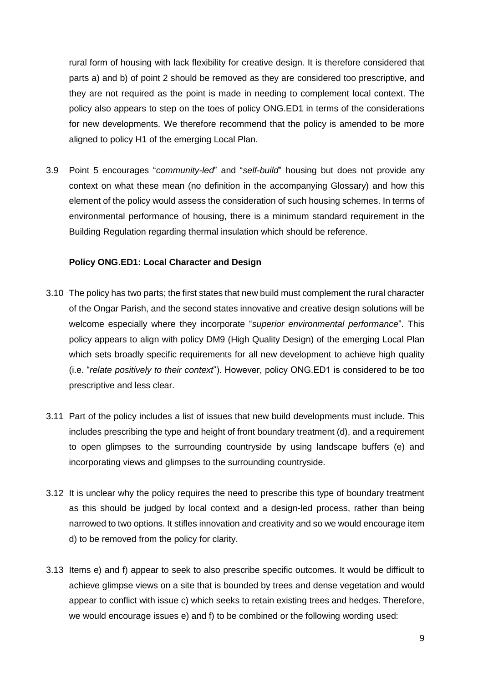rural form of housing with lack flexibility for creative design. It is therefore considered that parts a) and b) of point 2 should be removed as they are considered too prescriptive, and they are not required as the point is made in needing to complement local context. The policy also appears to step on the toes of policy ONG.ED1 in terms of the considerations for new developments. We therefore recommend that the policy is amended to be more aligned to policy H1 of the emerging Local Plan.

3.9 Point 5 encourages "*community-led*" and "*self-build*" housing but does not provide any context on what these mean (no definition in the accompanying Glossary) and how this element of the policy would assess the consideration of such housing schemes. In terms of environmental performance of housing, there is a minimum standard requirement in the Building Regulation regarding thermal insulation which should be reference.

#### **Policy ONG.ED1: Local Character and Design**

- 3.10 The policy has two parts; the first states that new build must complement the rural character of the Ongar Parish, and the second states innovative and creative design solutions will be welcome especially where they incorporate "*superior environmental performance*". This policy appears to align with policy DM9 (High Quality Design) of the emerging Local Plan which sets broadly specific requirements for all new development to achieve high quality (i.e. "*relate positively to their context*"). However, policy ONG.ED1 is considered to be too prescriptive and less clear.
- 3.11 Part of the policy includes a list of issues that new build developments must include. This includes prescribing the type and height of front boundary treatment (d), and a requirement to open glimpses to the surrounding countryside by using landscape buffers (e) and incorporating views and glimpses to the surrounding countryside.
- 3.12 It is unclear why the policy requires the need to prescribe this type of boundary treatment as this should be judged by local context and a design-led process, rather than being narrowed to two options. It stifles innovation and creativity and so we would encourage item d) to be removed from the policy for clarity.
- 3.13 Items e) and f) appear to seek to also prescribe specific outcomes. It would be difficult to achieve glimpse views on a site that is bounded by trees and dense vegetation and would appear to conflict with issue c) which seeks to retain existing trees and hedges. Therefore, we would encourage issues e) and f) to be combined or the following wording used: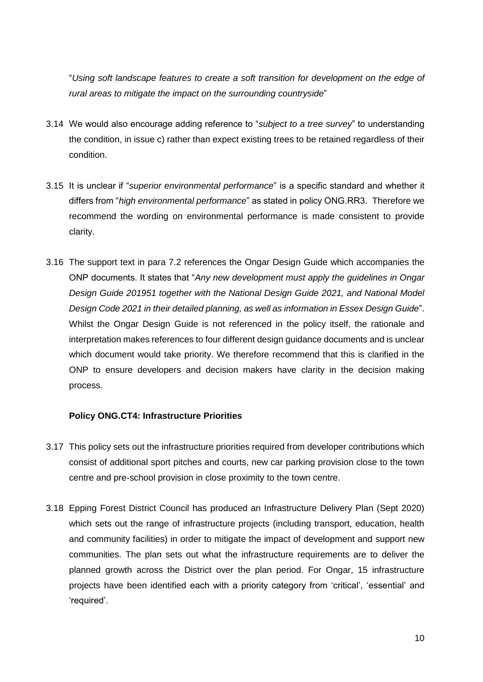"*Using soft landscape features to create a soft transition for development on the edge of rural areas to mitigate the impact on the surrounding countryside*"

- 3.14 We would also encourage adding reference to "*subject to a tree survey*" to understanding the condition, in issue c) rather than expect existing trees to be retained regardless of their condition.
- 3.15 It is unclear if "*superior environmental performance*" is a specific standard and whether it differs from "*high environmental performance*" as stated in policy ONG.RR3. Therefore we recommend the wording on environmental performance is made consistent to provide clarity.
- 3.16 The support text in para 7.2 references the Ongar Design Guide which accompanies the ONP documents. It states that "*Any new development must apply the guidelines in Ongar Design Guide 201951 together with the National Design Guide 2021, and National Model Design Code 2021 in their detailed planning, as well as information in Essex Design Guide*". Whilst the Ongar Design Guide is not referenced in the policy itself, the rationale and interpretation makes references to four different design guidance documents and is unclear which document would take priority. We therefore recommend that this is clarified in the ONP to ensure developers and decision makers have clarity in the decision making process.

#### **Policy ONG.CT4: Infrastructure Priorities**

- 3.17 This policy sets out the infrastructure priorities required from developer contributions which consist of additional sport pitches and courts, new car parking provision close to the town centre and pre-school provision in close proximity to the town centre.
- 3.18 Epping Forest District Council has produced an Infrastructure Delivery Plan (Sept 2020) which sets out the range of infrastructure projects (including transport, education, health and community facilities) in order to mitigate the impact of development and support new communities. The plan sets out what the infrastructure requirements are to deliver the planned growth across the District over the plan period. For Ongar, 15 infrastructure projects have been identified each with a priority category from 'critical', 'essential' and 'required'.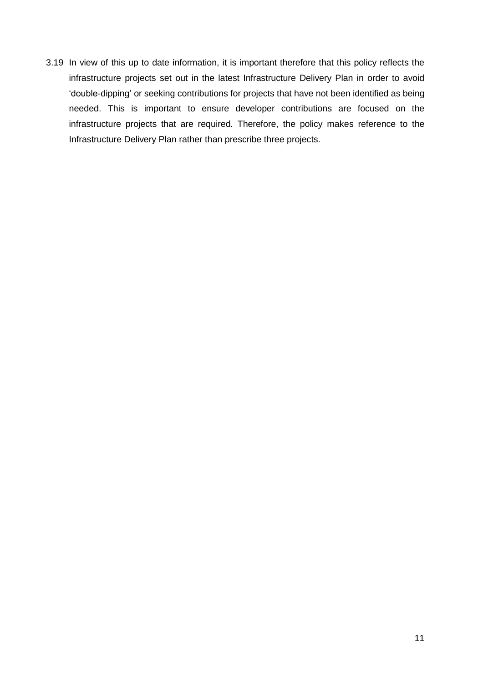3.19 In view of this up to date information, it is important therefore that this policy reflects the infrastructure projects set out in the latest Infrastructure Delivery Plan in order to avoid 'double-dipping' or seeking contributions for projects that have not been identified as being needed. This is important to ensure developer contributions are focused on the infrastructure projects that are required. Therefore, the policy makes reference to the Infrastructure Delivery Plan rather than prescribe three projects.